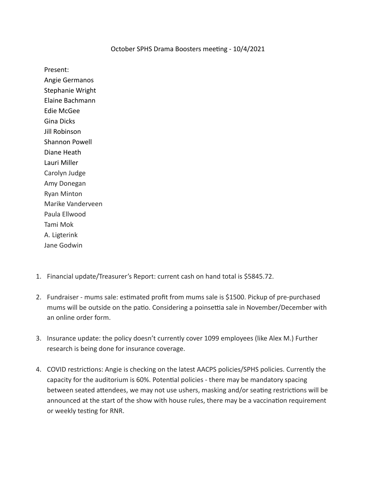## October SPHS Drama Boosters meeting - 10/4/2021

Present:

Angie Germanos Stephanie Wright Elaine Bachmann Edie McGee Gina Dicks Jill Robinson Shannon Powell Diane Heath Lauri Miller Carolyn Judge Amy Donegan Ryan Minton Marike Vanderveen Paula Ellwood Tami Mok A. Ligterink Jane Godwin

- 1. Financial update/Treasurer's Report: current cash on hand total is \$5845.72.
- 2. Fundraiser mums sale: estimated profit from mums sale is \$1500. Pickup of pre-purchased mums will be outside on the patio. Considering a poinsettia sale in November/December with an online order form.
- 3. Insurance update: the policy doesn't currently cover 1099 employees (like Alex M.) Further research is being done for insurance coverage.
- 4. COVID restrictions: Angie is checking on the latest AACPS policies/SPHS policies. Currently the capacity for the auditorium is 60%. Potential policies - there may be mandatory spacing between seated attendees, we may not use ushers, masking and/or seating restrictions will be announced at the start of the show with house rules, there may be a vaccination requirement or weekly testing for RNR.